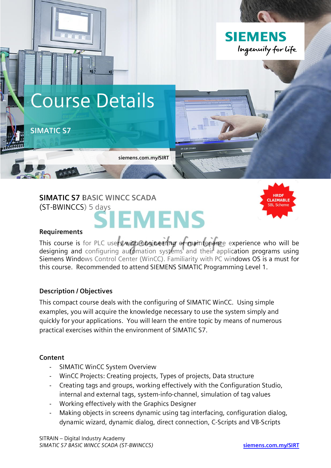

# **SIMATIC S7 BASIC WINCC SCADA** (ST-BWINCCS) 5 days

# **EMENS**



#### **Requirements**

This course is for PLC users with engineering or maintenance experience who will be designing and configuring automation systems and their application programs using Siemens Windows Control Center (WinCC). Familiarity with PC windows OS is a must for this course. Recommended to attend SIEMENS SIMATIC Programming Level 1.

## **Description / Objectives**

This compact course deals with the configuring of SIMATIC WinCC. Using simple examples, you will acquire the knowledge necessary to use the system simply and quickly for your applications. You will learn the entire topic by means of numerous practical exercises within the environment of SIMATIC S7.

## **Content**

- SIMATIC WinCC System Overview
- WinCC Projects: Creating projects, Types of projects, Data structure
- Creating tags and groups, working effectively with the Configuration Studio, internal and external tags, system-info-channel, simulation of tag values
- Working effectively with the Graphics Designer
- Making objects in screens dynamic using tag interfacing, configuration dialog, dynamic wizard, dynamic dialog, direct connection, C-Scripts and VB-Scripts

SITRAIN – Digital Industry Academy *SIMATIC S7 BASIC WINCC SCADA (ST-BWINCCS)* **siemens.com.my/SIRT**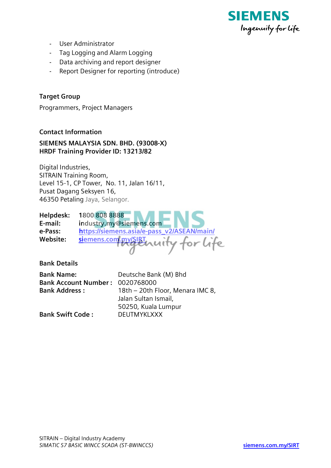

- User Administrator
- Tag Logging and Alarm Logging
- Data archiving and report designer
- Report Designer for reporting (introduce)

# **Target Group**

Programmers, Project Managers

## **Contact Information**

## **SIEMENS MALAYSIA SDN. BHD. (93008-X) HRDF Training Provider ID: 13213/82**

Digital Industries, SITRAIN Training Room, Level 15-1, CP Tower, No. 11, Jalan 16/11, Pusat Dagang Seksyen 16, 46350 Petaling Jaya, Selangor.

| Helpdesk: | 1800 808 8888                              |
|-----------|--------------------------------------------|
| E-mail:   | industry.my@siemens.com                    |
| e-Pass:   | https://siemens.asia/e-pass_v2/ASEAN/main/ |
| Website:  | siemens.com.my/SIRT nuity for Life         |

**Bank Details**

| <b>Bank Name:</b>               | Deutsche Bank (M) Bhd            |
|---------------------------------|----------------------------------|
| Bank Account Number: 0020768000 |                                  |
| <b>Bank Address:</b>            | 18th - 20th Floor, Menara IMC 8, |
|                                 | Jalan Sultan Ismail,             |
|                                 | 50250, Kuala Lumpur              |
| <b>Bank Swift Code:</b>         | <b>DEUTMYKLXXX</b>               |